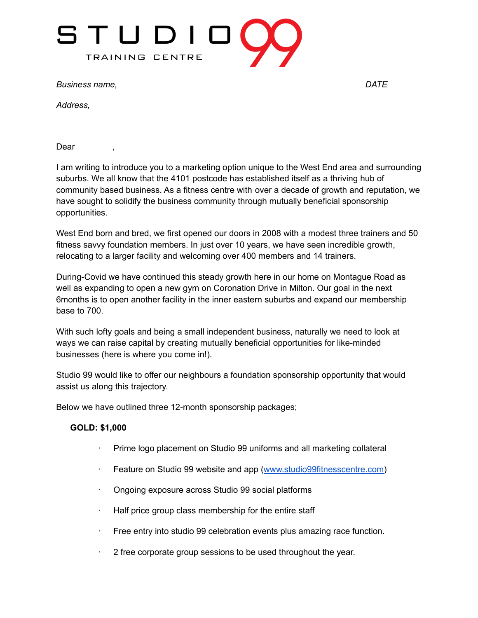

*Business name, DATE*

*Address,*

Dear

I am writing to introduce you to a marketing option unique to the West End area and surrounding suburbs. We all know that the 4101 postcode has established itself as a thriving hub of community based business. As a fitness centre with over a decade of growth and reputation, we have sought to solidify the business community through mutually beneficial sponsorship opportunities.

West End born and bred, we first opened our doors in 2008 with a modest three trainers and 50 fitness savvy foundation members. In just over 10 years, we have seen incredible growth, relocating to a larger facility and welcoming over 400 members and 14 trainers.

During-Covid we have continued this steady growth here in our home on Montague Road as well as expanding to open a new gym on Coronation Drive in Milton. Our goal in the next 6months is to open another facility in the inner eastern suburbs and expand our membership base to 700.

With such lofty goals and being a small independent business, naturally we need to look at ways we can raise capital by creating mutually beneficial opportunities for like-minded businesses (here is where you come in!).

Studio 99 would like to offer our neighbours a foundation sponsorship opportunity that would assist us along this trajectory.

Below we have outlined three 12-month sponsorship packages;

## **GOLD: \$1,000**

- · Prime logo placement on Studio 99 uniforms and all marketing collateral
- Feature on Studio 99 website and app ([www.studio99fitnesscentre.com\)](http://www.studio99fitnesscentre.com/)
- · Ongoing exposure across Studio 99 social platforms
- Half price group class membership for the entire staff
- · Free entry into studio 99 celebration events plus amazing race function.
- · 2 free corporate group sessions to be used throughout the year.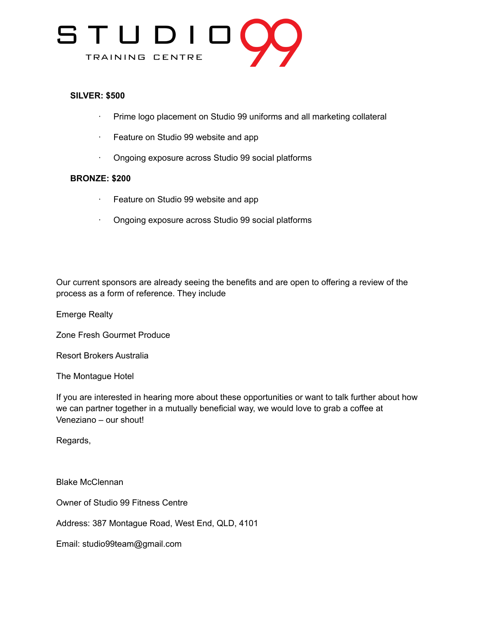

## **SILVER: \$500**

- · Prime logo placement on Studio 99 uniforms and all marketing collateral
- · Feature on Studio 99 website and app
- · Ongoing exposure across Studio 99 social platforms

## **BRONZE: \$200**

- · Feature on Studio 99 website and app
- · Ongoing exposure across Studio 99 social platforms

Our current sponsors are already seeing the benefits and are open to offering a review of the process as a form of reference. They include

Emerge Realty

Zone Fresh Gourmet Produce

Resort Brokers Australia

The Montague Hotel

If you are interested in hearing more about these opportunities or want to talk further about how we can partner together in a mutually beneficial way, we would love to grab a coffee at Veneziano – our shout!

Regards,

Blake McClennan

Owner of Studio 99 Fitness Centre

Address: 387 Montague Road, West End, QLD, 4101

Email: studio99team@gmail.com